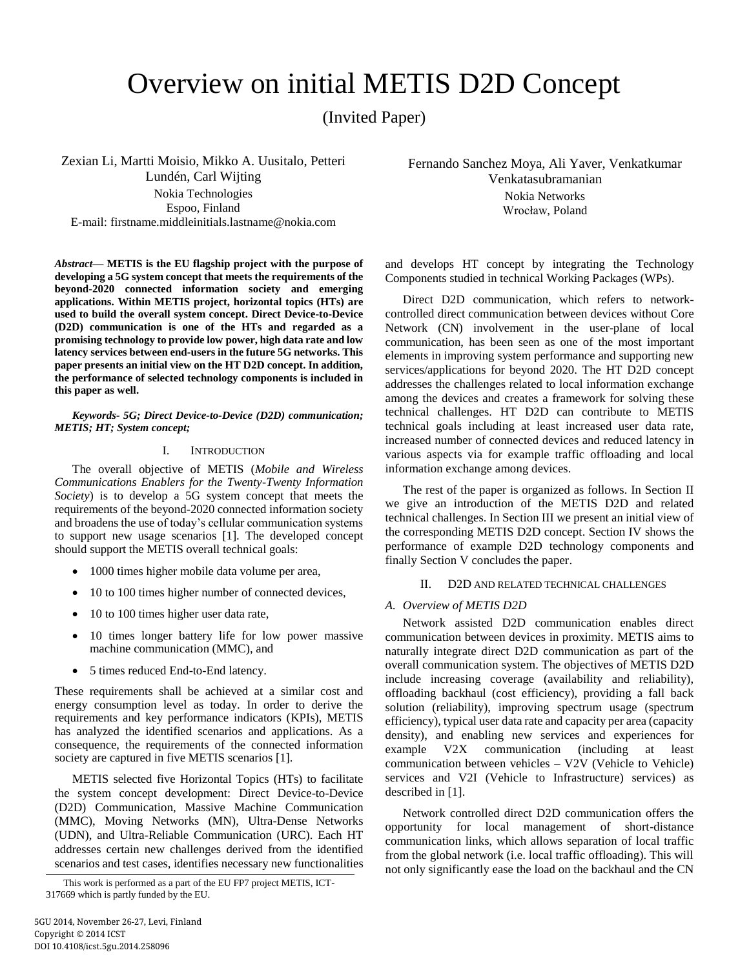# Overview on initial METIS D2D Concept

(Invited Paper)

Zexian Li, Martti Moisio, Mikko A. Uusitalo, Petteri Lundén, Carl Wijting Nokia Technologies Espoo, Finland E-mail: firstname.middleinitials.lastname@nokia.com

*Abstract***— METIS is the EU flagship project with the purpose of developing a 5G system concept that meets the requirements of the beyond-2020 connected information society and emerging applications. Within METIS project, horizontal topics (HTs) are used to build the overall system concept. Direct Device-to-Device (D2D) communication is one of the HTs and regarded as a promising technology to provide low power, high data rate and low latency services between end-users in the future 5G networks. This paper presents an initial view on the HT D2D concept. In addition, the performance of selected technology components is included in this paper as well.**

#### *Keywords- 5G; Direct Device-to-Device (D2D) communication; METIS; HT; System concept;*

## I. INTRODUCTION

The overall objective of METIS (*Mobile and Wireless Communications Enablers for the Twenty-Twenty Information Society*) is to develop a 5G system concept that meets the requirements of the beyond-2020 connected information society and broadens the use of today's cellular communication systems to support new usage scenarios [\[1\].](#page-5-0) The developed concept should support the METIS overall technical goals:

- 1000 times higher mobile data volume per area,
- 10 to 100 times higher number of connected devices,
- 10 to 100 times higher user data rate,
- 10 times longer battery life for low power massive machine communication (MMC), and
- 5 times reduced End-to-End latency.

These requirements shall be achieved at a similar cost and energy consumption level as today. In order to derive the requirements and key performance indicators (KPIs), METIS has analyzed the identified scenarios and applications. As a consequence, the requirements of the connected information society are captured in five METIS scenario[s \[1\].](#page-5-0)

METIS selected five Horizontal Topics (HTs) to facilitate the system concept development: Direct Device-to-Device (D2D) Communication, Massive Machine Communication (MMC), Moving Networks (MN), Ultra-Dense Networks (UDN), and Ultra-Reliable Communication (URC). Each HT addresses certain new challenges derived from the identified scenarios and test cases, identifies necessary new functionalities

This work is performed as a part of the EU FP7 project METIS, ICT-317669 which is partly funded by the EU.

Fernando Sanchez Moya, Ali Yaver, Venkatkumar Venkatasubramanian Nokia Networks Wrocław, Poland

and develops HT concept by integrating the Technology Components studied in technical Working Packages (WPs).

Direct D2D communication, which refers to networkcontrolled direct communication between devices without Core Network (CN) involvement in the user-plane of local communication, has been seen as one of the most important elements in improving system performance and supporting new services/applications for beyond 2020. The HT D2D concept addresses the challenges related to local information exchange among the devices and creates a framework for solving these technical challenges. HT D2D can contribute to METIS technical goals including at least increased user data rate, increased number of connected devices and reduced latency in various aspects via for example traffic offloading and local information exchange among devices.

The rest of the paper is organized as follows. In Section II we give an introduction of the METIS D2D and related technical challenges. In Section III we present an initial view of the corresponding METIS D2D concept. Section IV shows the performance of example D2D technology components and finally Section V concludes the paper.

#### II. D2D AND RELATED TECHNICAL CHALLENGES

## *A. Overview of METIS D2D*

Network assisted D2D communication enables direct communication between devices in proximity. METIS aims to naturally integrate direct D2D communication as part of the overall communication system. The objectives of METIS D2D include increasing coverage (availability and reliability), offloading backhaul (cost efficiency), providing a fall back solution (reliability), improving spectrum usage (spectrum efficiency), typical user data rate and capacity per area (capacity density), and enabling new services and experiences for example V2X communication (including at least communication between vehicles – V2V (Vehicle to Vehicle) services and V2I (Vehicle to Infrastructure) services) as described in [\[1\].](#page-5-0)

Network controlled direct D2D communication offers the opportunity for local management of short-distance communication links, which allows separation of local traffic from the global network (i.e. local traffic offloading). This will not only significantly ease the load on the backhaul and the CN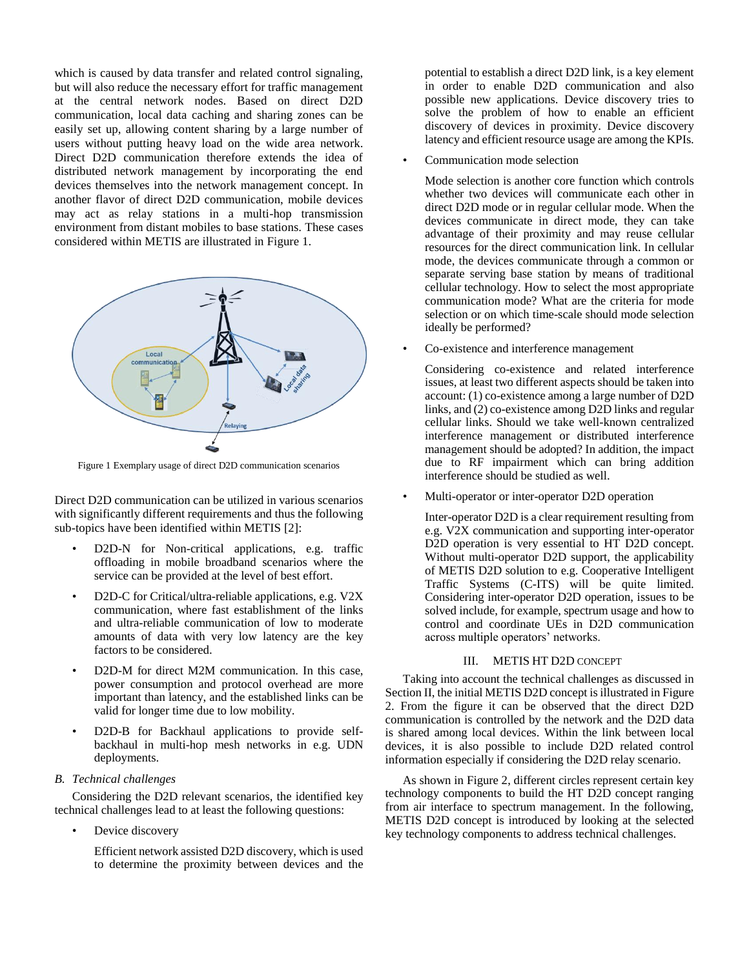which is caused by data transfer and related control signaling, but will also reduce the necessary effort for traffic management at the central network nodes. Based on direct D2D communication, local data caching and sharing zones can be easily set up, allowing content sharing by a large number of users without putting heavy load on the wide area network. Direct D2D communication therefore extends the idea of distributed network management by incorporating the end devices themselves into the network management concept. In another flavor of direct D2D communication, mobile devices may act as relay stations in a multi-hop transmission environment from distant mobiles to base stations. These cases considered within METIS are illustrated in [Figure 1.](#page-1-0)



<span id="page-1-0"></span>Figure 1 Exemplary usage of direct D2D communication scenarios

Direct D2D communication can be utilized in various scenarios with significantly different requirements and thus the following sub-topics have been identified within METIS [\[2\]:](#page-5-1)

- D2D-N for Non-critical applications, e.g. traffic offloading in mobile broadband scenarios where the service can be provided at the level of best effort.
- D2D-C for Critical/ultra-reliable applications, e.g. V2X communication, where fast establishment of the links and ultra-reliable communication of low to moderate amounts of data with very low latency are the key factors to be considered.
- D2D-M for direct M2M communication. In this case, power consumption and protocol overhead are more important than latency, and the established links can be valid for longer time due to low mobility.
- D2D-B for Backhaul applications to provide selfbackhaul in multi-hop mesh networks in e.g. UDN deployments.

# *B. Technical challenges*

Considering the D2D relevant scenarios, the identified key technical challenges lead to at least the following questions:

• Device discovery

Efficient network assisted D2D discovery, which is used to determine the proximity between devices and the

potential to establish a direct D2D link, is a key element in order to enable D2D communication and also possible new applications. Device discovery tries to solve the problem of how to enable an efficient discovery of devices in proximity. Device discovery latency and efficient resource usage are among the KPIs.

Communication mode selection

Mode selection is another core function which controls whether two devices will communicate each other in direct D2D mode or in regular cellular mode. When the devices communicate in direct mode, they can take advantage of their proximity and may reuse cellular resources for the direct communication link. In cellular mode, the devices communicate through a common or separate serving base station by means of traditional cellular technology. How to select the most appropriate communication mode? What are the criteria for mode selection or on which time-scale should mode selection ideally be performed?

• Co-existence and interference management

Considering co-existence and related interference issues, at least two different aspects should be taken into account: (1) co-existence among a large number of D2D links, and (2) co-existence among D2D links and regular cellular links. Should we take well-known centralized interference management or distributed interference management should be adopted? In addition, the impact due to RF impairment which can bring addition interference should be studied as well.

Multi-operator or inter-operator D2D operation

Inter-operator D2D is a clear requirement resulting from e.g. V2X communication and supporting inter-operator D2D operation is very essential to HT D2D concept. Without multi-operator D2D support, the applicability of METIS D2D solution to e.g. Cooperative Intelligent Traffic Systems (C-ITS) will be quite limited. Considering inter-operator D2D operation, issues to be solved include, for example, spectrum usage and how to control and coordinate UEs in D2D communication across multiple operators' networks.

#### III. METIS HT D2D CONCEPT

Taking into account the technical challenges as discussed in Section II, the initial METIS D2D concept is illustrated in Figure 2. From the figure it can be observed that the direct D2D communication is controlled by the network and the D2D data is shared among local devices. Within the link between local devices, it is also possible to include D2D related control information especially if considering the D2D relay scenario.

As shown in Figure 2, different circles represent certain key technology components to build the HT D2D concept ranging from air interface to spectrum management. In the following, METIS D2D concept is introduced by looking at the selected key technology components to address technical challenges.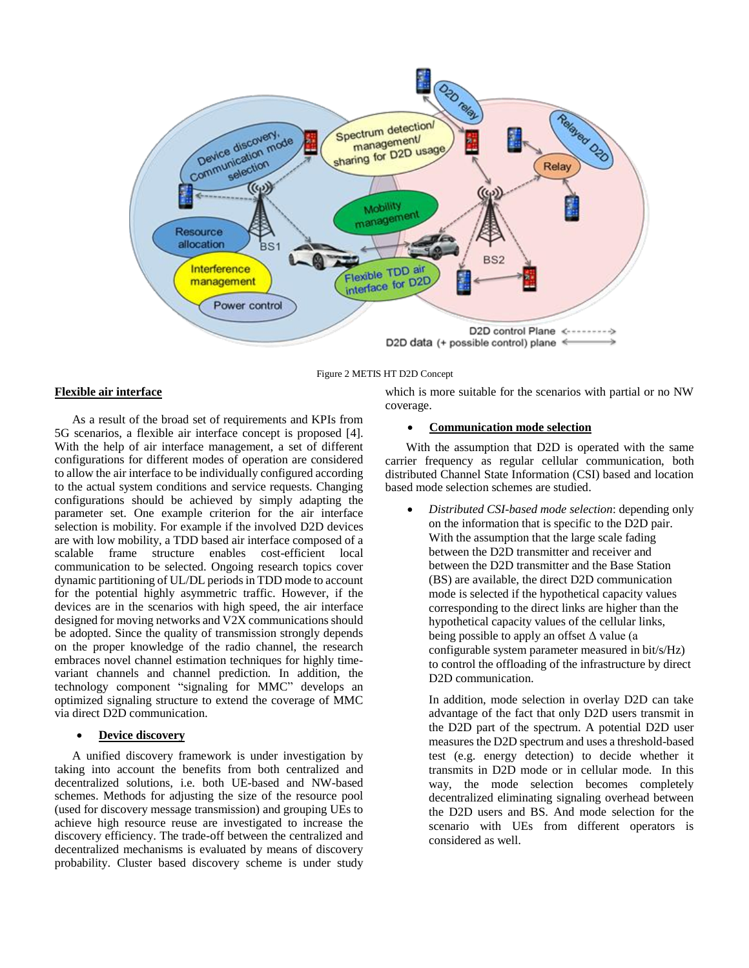

Figure 2 METIS HT D2D Concept

## **Flexible air interface**

As a result of the broad set of requirements and KPIs from 5G scenarios, a flexible air interface concept is proposed [\[4\].](#page-5-2) With the help of air interface management, a set of different configurations for different modes of operation are considered to allow the air interface to be individually configured according to the actual system conditions and service requests. Changing configurations should be achieved by simply adapting the parameter set. One example criterion for the air interface selection is mobility. For example if the involved D2D devices are with low mobility, a TDD based air interface composed of a scalable frame structure enables cost-efficient local communication to be selected. Ongoing research topics cover dynamic partitioning of UL/DL periods in TDD mode to account for the potential highly asymmetric traffic. However, if the devices are in the scenarios with high speed, the air interface designed for moving networks and V2X communications should be adopted. Since the quality of transmission strongly depends on the proper knowledge of the radio channel, the research embraces novel channel estimation techniques for highly timevariant channels and channel prediction. In addition, the technology component "signaling for MMC" develops an optimized signaling structure to extend the coverage of MMC via direct D2D communication.

# **Device discovery**

A unified discovery framework is under investigation by taking into account the benefits from both centralized and decentralized solutions, i.e. both UE-based and NW-based schemes. Methods for adjusting the size of the resource pool (used for discovery message transmission) and grouping UEs to achieve high resource reuse are investigated to increase the discovery efficiency. The trade-off between the centralized and decentralized mechanisms is evaluated by means of discovery probability. Cluster based discovery scheme is under study

which is more suitable for the scenarios with partial or no NW coverage.

#### **Communication mode selection**

With the assumption that D2D is operated with the same carrier frequency as regular cellular communication, both distributed Channel State Information (CSI) based and location based mode selection schemes are studied.

 *Distributed CSI-based mode selection*: depending only on the information that is specific to the D2D pair. With the assumption that the large scale fading between the D2D transmitter and receiver and between the D2D transmitter and the Base Station (BS) are available, the direct D2D communication mode is selected if the hypothetical capacity values corresponding to the direct links are higher than the hypothetical capacity values of the cellular links, being possible to apply an offset  $\Delta$  value (a configurable system parameter measured in bit/s/Hz) to control the offloading of the infrastructure by direct D<sub>2</sub>D communication.

In addition, mode selection in overlay D2D can take advantage of the fact that only D2D users transmit in the D2D part of the spectrum. A potential D2D user measures the D2D spectrum and uses a threshold-based test (e.g. energy detection) to decide whether it transmits in D2D mode or in cellular mode. In this way, the mode selection becomes completely decentralized eliminating signaling overhead between the D2D users and BS. And mode selection for the scenario with UEs from different operators is considered as well.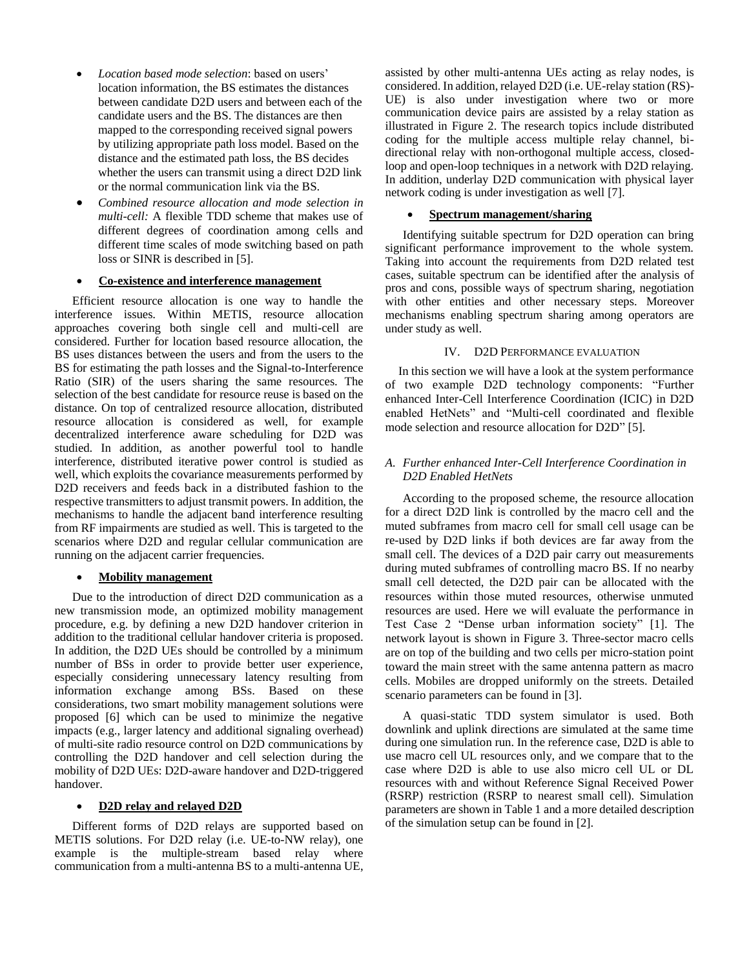- *Location based mode selection*: based on users' location information, the BS estimates the distances between candidate D2D users and between each of the candidate users and the BS. The distances are then mapped to the corresponding received signal powers by utilizing appropriate path loss model. Based on the distance and the estimated path loss, the BS decides whether the users can transmit using a direct D2D link or the normal communication link via the BS.
- *Combined resource allocation and mode selection in multi-cell:* A flexible TDD scheme that makes use of different degrees of coordination among cells and different time scales of mode switching based on path loss or SINR is described in [\[5\].](#page-5-3)

# **Co-existence and interference management**

Efficient resource allocation is one way to handle the interference issues. Within METIS, resource allocation approaches covering both single cell and multi-cell are considered. Further for location based resource allocation, the BS uses distances between the users and from the users to the BS for estimating the path losses and the Signal-to-Interference Ratio (SIR) of the users sharing the same resources. The selection of the best candidate for resource reuse is based on the distance. On top of centralized resource allocation, distributed resource allocation is considered as well, for example decentralized interference aware scheduling for D2D was studied. In addition, as another powerful tool to handle interference, distributed iterative power control is studied as well, which exploits the covariance measurements performed by D2D receivers and feeds back in a distributed fashion to the respective transmitters to adjust transmit powers. In addition, the mechanisms to handle the adjacent band interference resulting from RF impairments are studied as well. This is targeted to the scenarios where D2D and regular cellular communication are running on the adjacent carrier frequencies.

## **Mobility management**

Due to the introduction of direct D2D communication as a new transmission mode, an optimized mobility management procedure, e.g. by defining a new D2D handover criterion in addition to the traditional cellular handover criteria is proposed. In addition, the D2D UEs should be controlled by a minimum number of BSs in order to provide better user experience, especially considering unnecessary latency resulting from information exchange among BSs. Based on these considerations, two smart mobility management solutions were proposed [\[6\]](#page-5-4) which can be used to minimize the negative impacts (e.g., larger latency and additional signaling overhead) of multi-site radio resource control on D2D communications by controlling the D2D handover and cell selection during the mobility of D2D UEs: D2D-aware handover and D2D-triggered handover.

## **D2D relay and relayed D2D**

Different forms of D2D relays are supported based on METIS solutions. For D2D relay (i.e. UE-to-NW relay), one example is the multiple-stream based relay where communication from a multi-antenna BS to a multi-antenna UE,

assisted by other multi-antenna UEs acting as relay nodes, is considered. In addition, relayed D2D (i.e. UE-relay station (RS)- UE) is also under investigation where two or more communication device pairs are assisted by a relay station as illustrated in Figure 2. The research topics include distributed coding for the multiple access multiple relay channel, bidirectional relay with non-orthogonal multiple access, closedloop and open-loop techniques in a network with D2D relaying. In addition, underlay D2D communication with physical layer network coding is under investigation as well [\[7\].](#page-5-5)

# **Spectrum management/sharing**

Identifying suitable spectrum for D2D operation can bring significant performance improvement to the whole system. Taking into account the requirements from D2D related test cases, suitable spectrum can be identified after the analysis of pros and cons, possible ways of spectrum sharing, negotiation with other entities and other necessary steps. Moreover mechanisms enabling spectrum sharing among operators are under study as well.

# IV. D2D PERFORMANCE EVALUATION

In this section we will have a look at the system performance of two example D2D technology components: "Further enhanced Inter-Cell Interference Coordination (ICIC) in D2D enabled HetNets" and "Multi-cell coordinated and flexible mode selection and resource allocation for D2D" [\[5\].](#page-5-3)

# *A. Further enhanced Inter-Cell Interference Coordination in D2D Enabled HetNets*

According to the proposed scheme, the resource allocation for a direct D2D link is controlled by the macro cell and the muted subframes from macro cell for small cell usage can be re-used by D2D links if both devices are far away from the small cell. The devices of a D2D pair carry out measurements during muted subframes of controlling macro BS. If no nearby small cell detected, the D2D pair can be allocated with the resources within those muted resources, otherwise unmuted resources are used. Here we will evaluate the performance in Test Case 2 "Dense urban information society" [\[1\].](#page-5-0) The network layout is shown in [Figure 3.](#page-4-0) Three-sector macro cells are on top of the building and two cells per micro-station point toward the main street with the same antenna pattern as macro cells. Mobiles are dropped uniformly on the streets. Detailed scenario parameters can be found in [\[3\].](#page-5-6) 

A quasi-static TDD system simulator is used. Both downlink and uplink directions are simulated at the same time during one simulation run. In the reference case, D2D is able to use macro cell UL resources only, and we compare that to the case where D2D is able to use also micro cell UL or DL resources with and without Reference Signal Received Power (RSRP) restriction (RSRP to nearest small cell). Simulation parameters are shown in Table 1 and a more detailed description of the simulation setup can be found in [\[2\].](#page-5-1)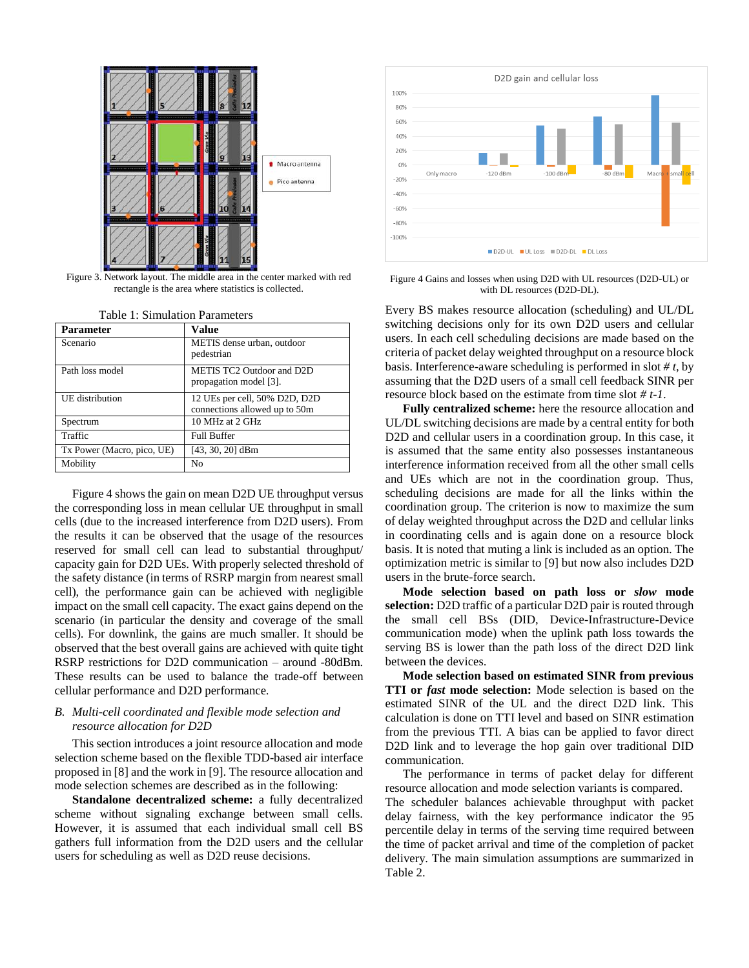

<span id="page-4-0"></span>Figure 3. Network layout. The middle area in the center marked with red rectangle is the area where statistics is collected.

| Parameter                  | Value                                                          |
|----------------------------|----------------------------------------------------------------|
| Scenario                   | METIS dense urban, outdoor<br>pedestrian                       |
| Path loss model            | METIS TC2 Outdoor and D2D<br>propagation model [3].            |
| UE distribution            | 12 UEs per cell, 50% D2D, D2D<br>connections allowed up to 50m |
| Spectrum                   | 10 MHz at 2 GHz                                                |
| Traffic                    | <b>Full Buffer</b>                                             |
| Tx Power (Macro, pico, UE) | $[43, 30, 20]$ dBm                                             |
| Mobility                   | No                                                             |

Table 1: Simulation Parameters

Figure 4 shows the gain on mean D2D UE throughput versus the corresponding loss in mean cellular UE throughput in small cells (due to the increased interference from D2D users). From the results it can be observed that the usage of the resources reserved for small cell can lead to substantial throughput/ capacity gain for D2D UEs. With properly selected threshold of the safety distance (in terms of RSRP margin from nearest small cell), the performance gain can be achieved with negligible impact on the small cell capacity. The exact gains depend on the scenario (in particular the density and coverage of the small cells). For downlink, the gains are much smaller. It should be observed that the best overall gains are achieved with quite tight RSRP restrictions for D2D communication – around -80dBm. These results can be used to balance the trade-off between cellular performance and D2D performance.

# *B. Multi-cell coordinated and flexible mode selection and resource allocation for D2D*

This section introduces a joint resource allocation and mode selection scheme based on the flexible TDD-based air interface proposed in [8] and the work in [\[9\].](#page-5-7) The resource allocation and mode selection schemes are described as in the following:

**Standalone decentralized scheme:** a fully decentralized scheme without signaling exchange between small cells. However, it is assumed that each individual small cell BS gathers full information from the D2D users and the cellular users for scheduling as well as D2D reuse decisions.



Figure 4 Gains and losses when using D2D with UL resources (D2D-UL) or with DL resources (D2D-DL).

Every BS makes resource allocation (scheduling) and UL/DL switching decisions only for its own D2D users and cellular users. In each cell scheduling decisions are made based on the criteria of packet delay weighted throughput on a resource block basis. Interference-aware scheduling is performed in slot *# t*, by assuming that the D2D users of a small cell feedback SINR per resource block based on the estimate from time slot *# t-1*.

**Fully centralized scheme:** here the resource allocation and UL/DL switching decisions are made by a central entity for both D2D and cellular users in a coordination group. In this case, it is assumed that the same entity also possesses instantaneous interference information received from all the other small cells and UEs which are not in the coordination group. Thus, scheduling decisions are made for all the links within the coordination group. The criterion is now to maximize the sum of delay weighted throughput across the D2D and cellular links in coordinating cells and is again done on a resource block basis. It is noted that muting a link is included as an option. The optimization metric is similar to [\[9\]](#page-5-7) but now also includes D2D users in the brute-force search.

**Mode selection based on path loss or** *slow* **mode selection:** D2D traffic of a particular D2D pair is routed through the small cell BSs (DID, Device-Infrastructure-Device communication mode) when the uplink path loss towards the serving BS is lower than the path loss of the direct D2D link between the devices.

**Mode selection based on estimated SINR from previous TTI or** *fast* **mode selection:** Mode selection is based on the estimated SINR of the UL and the direct D2D link. This calculation is done on TTI level and based on SINR estimation from the previous TTI. A bias can be applied to favor direct D2D link and to leverage the hop gain over traditional DID communication.

The performance in terms of packet delay for different resource allocation and mode selection variants is compared.

The scheduler balances achievable throughput with packet delay fairness, with the key performance indicator the 95 percentile delay in terms of the serving time required between the time of packet arrival and time of the completion of packet delivery. The main simulation assumptions are summarized in Table 2.